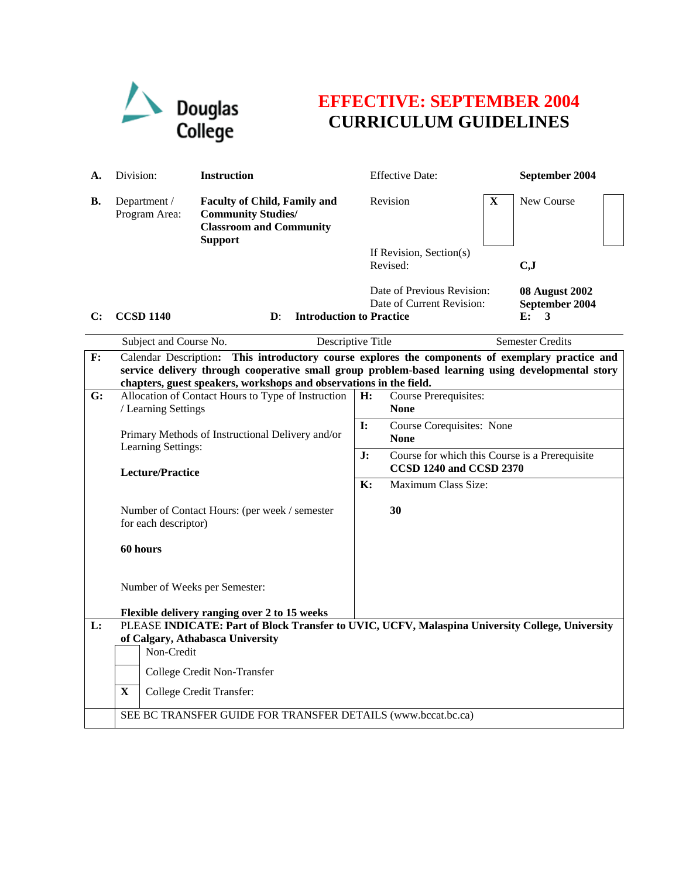

## **EFFECTIVE: SEPTEMBER 2004 CURRICULUM GUIDELINES**

| А.             | Division:                                                                                                                                                                                                                                                                      | <b>Instruction</b>                                                                                 |                                                            | <b>Effective Date:</b>                                                          |   | September 2004                                     |
|----------------|--------------------------------------------------------------------------------------------------------------------------------------------------------------------------------------------------------------------------------------------------------------------------------|----------------------------------------------------------------------------------------------------|------------------------------------------------------------|---------------------------------------------------------------------------------|---|----------------------------------------------------|
| В.             | Department /<br>Program Area:                                                                                                                                                                                                                                                  | <b>Faculty of Child, Family and</b><br><b>Community Studies/</b><br><b>Classroom and Community</b> |                                                            | Revision                                                                        | X | New Course                                         |
|                |                                                                                                                                                                                                                                                                                | <b>Support</b>                                                                                     |                                                            | If Revision, Section(s)<br>Revised:                                             |   | C, J                                               |
| C:             | <b>CCSD 1140</b>                                                                                                                                                                                                                                                               | <b>Introduction to Practice</b><br>$\mathbf{D}$ :                                                  |                                                            | Date of Previous Revision:<br>Date of Current Revision:                         |   | <b>08 August 2002</b><br>September 2004<br>E:<br>3 |
|                |                                                                                                                                                                                                                                                                                | Subject and Course No.<br><b>Semester Credits</b><br>Descriptive Title                             |                                                            |                                                                                 |   |                                                    |
| $\mathbf{F}$ : | This introductory course explores the components of exemplary practice and<br>Calendar Description:<br>service delivery through cooperative small group problem-based learning using developmental story<br>chapters, guest speakers, workshops and observations in the field. |                                                                                                    |                                                            |                                                                                 |   |                                                    |
| G:             | / Learning Settings                                                                                                                                                                                                                                                            | Allocation of Contact Hours to Type of Instruction                                                 |                                                            | Course Prerequisites:<br><b>None</b>                                            |   |                                                    |
|                | Learning Settings:                                                                                                                                                                                                                                                             | Primary Methods of Instructional Delivery and/or                                                   | Course Corequisites: None<br>$\mathbf{I}$ :<br><b>None</b> |                                                                                 |   |                                                    |
|                |                                                                                                                                                                                                                                                                                | <b>Lecture/Practice</b>                                                                            |                                                            | Course for which this Course is a Prerequisite<br>J:<br>CCSD 1240 and CCSD 2370 |   |                                                    |
|                | for each descriptor)                                                                                                                                                                                                                                                           | Number of Contact Hours: (per week / semester                                                      | $\mathbf{K}$ :                                             | Maximum Class Size:<br>30                                                       |   |                                                    |
|                | 60 hours<br>Number of Weeks per Semester:                                                                                                                                                                                                                                      |                                                                                                    |                                                            |                                                                                 |   |                                                    |
|                |                                                                                                                                                                                                                                                                                |                                                                                                    |                                                            |                                                                                 |   |                                                    |
|                | Flexible delivery ranging over 2 to 15 weeks                                                                                                                                                                                                                                   |                                                                                                    |                                                            |                                                                                 |   |                                                    |
| L:             |                                                                                                                                                                                                                                                                                | PLEASE INDICATE: Part of Block Transfer to UVIC, UCFV, Malaspina University College, University    |                                                            |                                                                                 |   |                                                    |
|                |                                                                                                                                                                                                                                                                                | of Calgary, Athabasca University<br>Non-Credit                                                     |                                                            |                                                                                 |   |                                                    |
|                |                                                                                                                                                                                                                                                                                | College Credit Non-Transfer<br>College Credit Transfer:                                            |                                                            |                                                                                 |   |                                                    |
|                | $\mathbf{X}$                                                                                                                                                                                                                                                                   |                                                                                                    |                                                            |                                                                                 |   |                                                    |
|                | SEE BC TRANSFER GUIDE FOR TRANSFER DETAILS (www.bccat.bc.ca)                                                                                                                                                                                                                   |                                                                                                    |                                                            |                                                                                 |   |                                                    |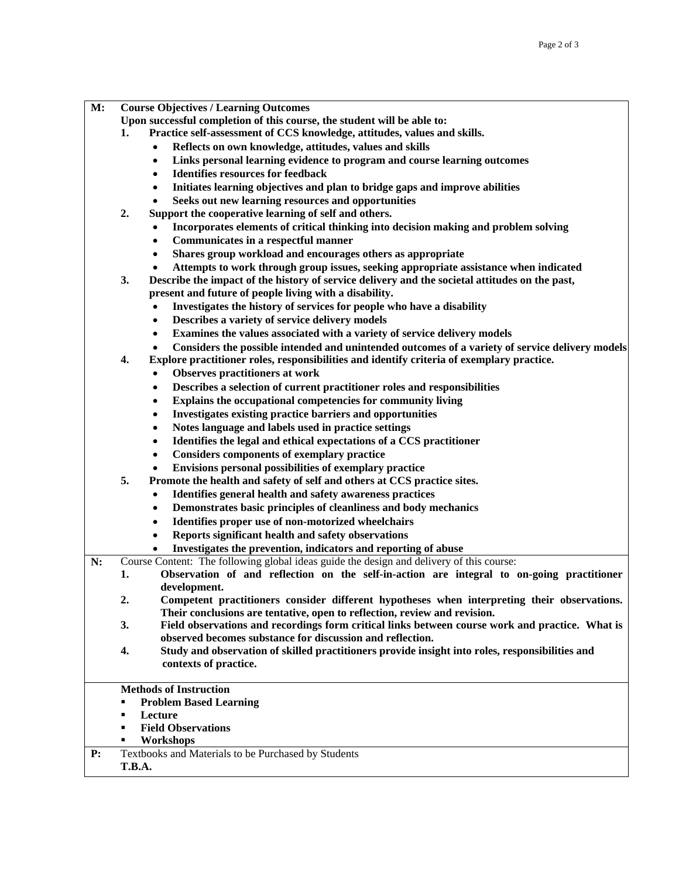| М: |  | <b>Course Objectives / Learning Outcomes</b> |
|----|--|----------------------------------------------|
|----|--|----------------------------------------------|

- **Upon successful completion of this course, the student will be able to:**
- **1. Practice self-assessment of CCS knowledge, attitudes, values and skills.** 
	- **Reflects on own knowledge, attitudes, values and skills**
	- **Links personal learning evidence to program and course learning outcomes**
	- **Identifies resources for feedback**
	- **Initiates learning objectives and plan to bridge gaps and improve abilities**
	- **Seeks out new learning resources and opportunities**
- **2. Support the cooperative learning of self and others.** 
	- **Incorporates elements of critical thinking into decision making and problem solving**
	- **Communicates in a respectful manner**
	- **Shares group workload and encourages others as appropriate**
	- **Attempts to work through group issues, seeking appropriate assistance when indicated**
- **3. Describe the impact of the history of service delivery and the societal attitudes on the past, present and future of people living with a disability.** 
	- **Investigates the history of services for people who have a disability**
	- **Describes a variety of service delivery models**
	- **Examines the values associated with a variety of service delivery models**
	- **Considers the possible intended and unintended outcomes of a variety of service delivery models**
- **4. Explore practitioner roles, responsibilities and identify criteria of exemplary practice.** 
	- **Observes practitioners at work**
	- **Describes a selection of current practitioner roles and responsibilities**
	- **Explains the occupational competencies for community living**
	- **Investigates existing practice barriers and opportunities**
	- **Notes language and labels used in practice settings**
	- **Identifies the legal and ethical expectations of a CCS practitioner**
	- **Considers components of exemplary practice**
	- **Envisions personal possibilities of exemplary practice**
- **5. Promote the health and safety of self and others at CCS practice sites.** 
	- **Identifies general health and safety awareness practices**
	- **Demonstrates basic principles of cleanliness and body mechanics**
	- **Identifies proper use of non-motorized wheelchairs**
	- **Reports significant health and safety observations**
	- **Investigates the prevention, indicators and reporting of abuse**

**N:** Course Content: The following global ideas guide the design and delivery of this course:

- **1. Observation of and reflection on the self-in-action are integral to on-going practitioner development.** 
	- **2. Competent practitioners consider different hypotheses when interpreting their observations. Their conclusions are tentative, open to reflection, review and revision.**
	- **3. Field observations and recordings form critical links between course work and practice. What is observed becomes substance for discussion and reflection.**
	- **4. Study and observation of skilled practitioners provide insight into roles, responsibilities and contexts of practice.**

## **Methods of Instruction**

- **Problem Based Learning**
- **Lecture**
- **Field Observations**
- **Workshops**

**P:** Textbooks and Materials to be Purchased by Students

## **T.B.A.**